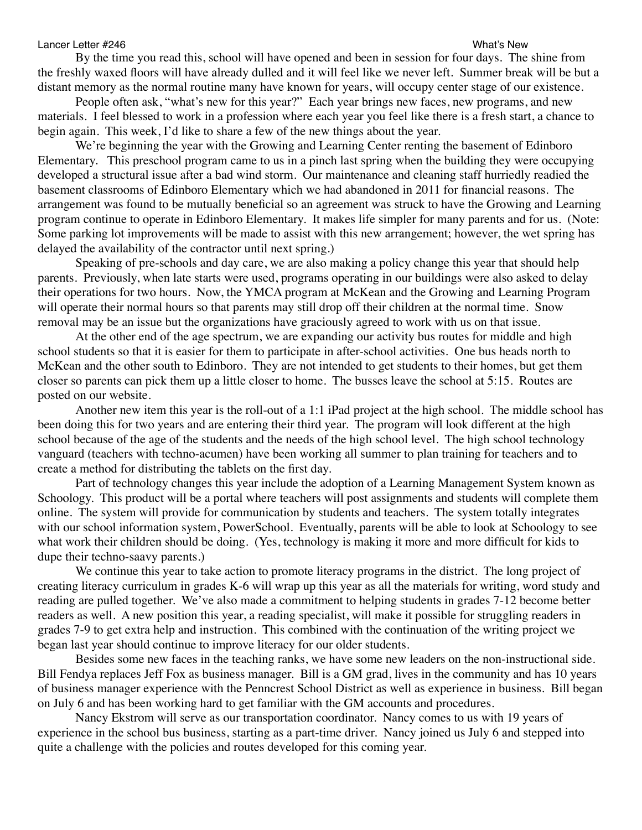## Lancer Letter #246 What's New

By the time you read this, school will have opened and been in session for four days. The shine from the freshly waxed floors will have already dulled and it will feel like we never left. Summer break will be but a distant memory as the normal routine many have known for years, will occupy center stage of our existence.

People often ask, "what's new for this year?" Each year brings new faces, new programs, and new materials. I feel blessed to work in a profession where each year you feel like there is a fresh start, a chance to begin again. This week, I'd like to share a few of the new things about the year.

We're beginning the year with the Growing and Learning Center renting the basement of Edinboro Elementary. This preschool program came to us in a pinch last spring when the building they were occupying developed a structural issue after a bad wind storm. Our maintenance and cleaning staff hurriedly readied the basement classrooms of Edinboro Elementary which we had abandoned in 2011 for financial reasons. The arrangement was found to be mutually beneficial so an agreement was struck to have the Growing and Learning program continue to operate in Edinboro Elementary. It makes life simpler for many parents and for us. (Note: Some parking lot improvements will be made to assist with this new arrangement; however, the wet spring has delayed the availability of the contractor until next spring.)

Speaking of pre-schools and day care, we are also making a policy change this year that should help parents. Previously, when late starts were used, programs operating in our buildings were also asked to delay their operations for two hours. Now, the YMCA program at McKean and the Growing and Learning Program will operate their normal hours so that parents may still drop off their children at the normal time. Snow removal may be an issue but the organizations have graciously agreed to work with us on that issue.

At the other end of the age spectrum, we are expanding our activity bus routes for middle and high school students so that it is easier for them to participate in after-school activities. One bus heads north to McKean and the other south to Edinboro. They are not intended to get students to their homes, but get them closer so parents can pick them up a little closer to home. The busses leave the school at 5:15. Routes are posted on our website.

Another new item this year is the roll-out of a 1:1 iPad project at the high school. The middle school has been doing this for two years and are entering their third year. The program will look different at the high school because of the age of the students and the needs of the high school level. The high school technology vanguard (teachers with techno-acumen) have been working all summer to plan training for teachers and to create a method for distributing the tablets on the first day.

Part of technology changes this year include the adoption of a Learning Management System known as Schoology. This product will be a portal where teachers will post assignments and students will complete them online. The system will provide for communication by students and teachers. The system totally integrates with our school information system, PowerSchool. Eventually, parents will be able to look at Schoology to see what work their children should be doing. (Yes, technology is making it more and more difficult for kids to dupe their techno-saavy parents.)

We continue this year to take action to promote literacy programs in the district. The long project of creating literacy curriculum in grades K-6 will wrap up this year as all the materials for writing, word study and reading are pulled together. We've also made a commitment to helping students in grades 7-12 become better readers as well. A new position this year, a reading specialist, will make it possible for struggling readers in grades 7-9 to get extra help and instruction. This combined with the continuation of the writing project we began last year should continue to improve literacy for our older students.

Besides some new faces in the teaching ranks, we have some new leaders on the non-instructional side. Bill Fendya replaces Jeff Fox as business manager. Bill is a GM grad, lives in the community and has 10 years of business manager experience with the Penncrest School District as well as experience in business. Bill began on July 6 and has been working hard to get familiar with the GM accounts and procedures.

Nancy Ekstrom will serve as our transportation coordinator. Nancy comes to us with 19 years of experience in the school bus business, starting as a part-time driver. Nancy joined us July 6 and stepped into quite a challenge with the policies and routes developed for this coming year.